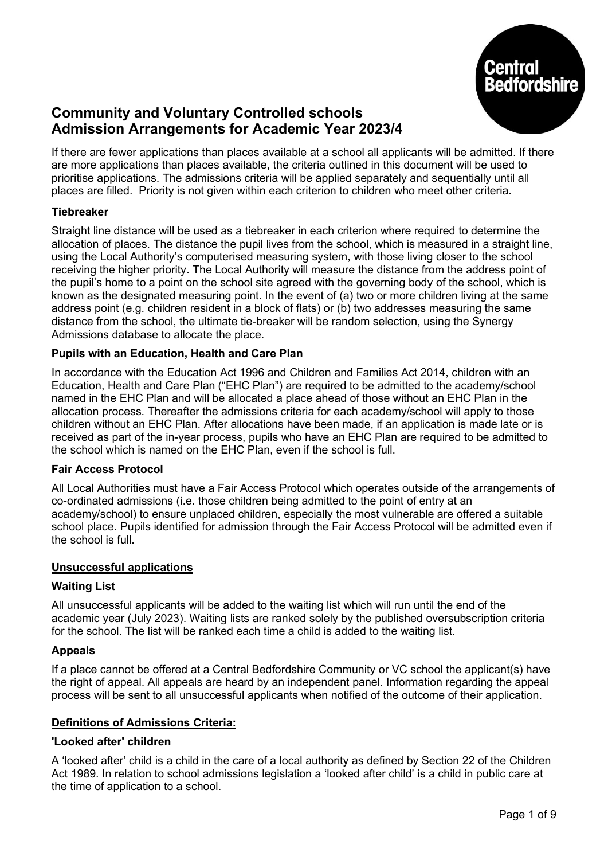

# Community and Voluntary Controlled schools Admission Arrangements for Academic Year 2023/4

If there are fewer applications than places available at a school all applicants will be admitted. If there are more applications than places available, the criteria outlined in this document will be used to prioritise applications. The admissions criteria will be applied separately and sequentially until all places are filled. Priority is not given within each criterion to children who meet other criteria.

# **Tiebreaker**

Straight line distance will be used as a tiebreaker in each criterion where required to determine the allocation of places. The distance the pupil lives from the school, which is measured in a straight line, using the Local Authority's computerised measuring system, with those living closer to the school receiving the higher priority. The Local Authority will measure the distance from the address point of the pupil's home to a point on the school site agreed with the governing body of the school, which is known as the designated measuring point. In the event of (a) two or more children living at the same address point (e.g. children resident in a block of flats) or (b) two addresses measuring the same distance from the school, the ultimate tie-breaker will be random selection, using the Synergy Admissions database to allocate the place.

## Pupils with an Education, Health and Care Plan

In accordance with the Education Act 1996 and Children and Families Act 2014, children with an Education, Health and Care Plan ("EHC Plan") are required to be admitted to the academy/school named in the EHC Plan and will be allocated a place ahead of those without an EHC Plan in the allocation process. Thereafter the admissions criteria for each academy/school will apply to those children without an EHC Plan. After allocations have been made, if an application is made late or is received as part of the in-year process, pupils who have an EHC Plan are required to be admitted to the school which is named on the EHC Plan, even if the school is full.

## Fair Access Protocol

All Local Authorities must have a Fair Access Protocol which operates outside of the arrangements of co-ordinated admissions (i.e. those children being admitted to the point of entry at an academy/school) to ensure unplaced children, especially the most vulnerable are offered a suitable school place. Pupils identified for admission through the Fair Access Protocol will be admitted even if the school is full.

#### Unsuccessful applications

## Waiting List

All unsuccessful applicants will be added to the waiting list which will run until the end of the academic year (July 2023). Waiting lists are ranked solely by the published oversubscription criteria for the school. The list will be ranked each time a child is added to the waiting list.

## Appeals

If a place cannot be offered at a Central Bedfordshire Community or VC school the applicant(s) have the right of appeal. All appeals are heard by an independent panel. Information regarding the appeal process will be sent to all unsuccessful applicants when notified of the outcome of their application.

## Definitions of Admissions Criteria:

#### 'Looked after' children

A 'looked after' child is a child in the care of a local authority as defined by Section 22 of the Children Act 1989. In relation to school admissions legislation a 'looked after child' is a child in public care at the time of application to a school.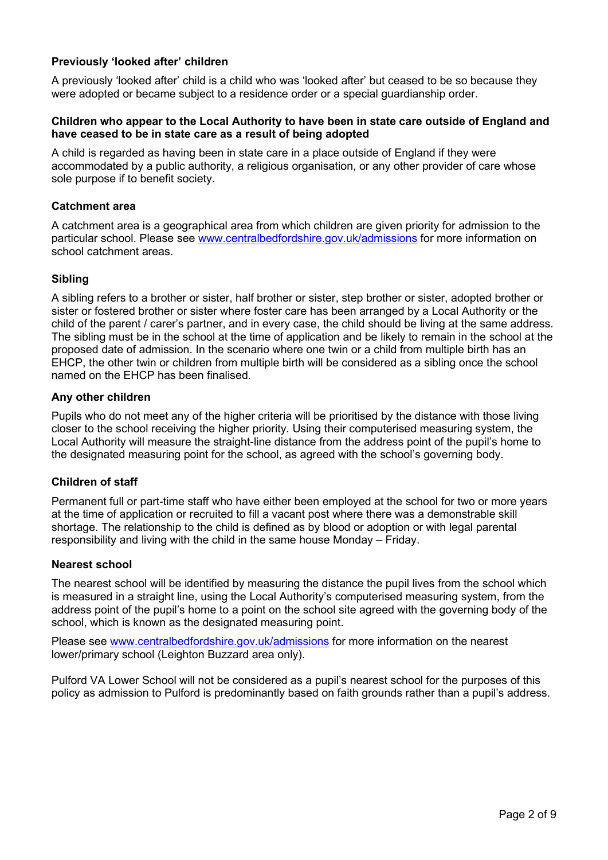# Previously 'looked after' children

A previously 'looked after' child is a child who was 'looked after' but ceased to be so because they were adopted or became subject to a residence order or a special guardianship order.

#### Children who appear to the Local Authority to have been in state care outside of England and have ceased to be in state care as a result of being adopted

A child is regarded as having been in state care in a place outside of England if they were accommodated by a public authority, a religious organisation, or any other provider of care whose sole purpose if to benefit society.

#### Catchment area

A catchment area is a geographical area from which children are given priority for admission to the particular school. Please see www.centralbedfordshire.gov.uk/admissions for more information on school catchment areas.

#### Sibling

A sibling refers to a brother or sister, half brother or sister, step brother or sister, adopted brother or sister or fostered brother or sister where foster care has been arranged by a Local Authority or the child of the parent / carer's partner, and in every case, the child should be living at the same address. The sibling must be in the school at the time of application and be likely to remain in the school at the proposed date of admission. In the scenario where one twin or a child from multiple birth has an EHCP, the other twin or children from multiple birth will be considered as a sibling once the school named on the EHCP has been finalised.

#### Any other children

Pupils who do not meet any of the higher criteria will be prioritised by the distance with those living closer to the school receiving the higher priority. Using their computerised measuring system, the Local Authority will measure the straight-line distance from the address point of the pupil's home to the designated measuring point for the school, as agreed with the school's governing body.

#### Children of staff

Permanent full or part-time staff who have either been employed at the school for two or more years at the time of application or recruited to fill a vacant post where there was a demonstrable skill shortage. The relationship to the child is defined as by blood or adoption or with legal parental responsibility and living with the child in the same house Monday – Friday.

#### Nearest school

The nearest school will be identified by measuring the distance the pupil lives from the school which is measured in a straight line, using the Local Authority's computerised measuring system, from the address point of the pupil's home to a point on the school site agreed with the governing body of the school, which is known as the designated measuring point.

Please see www.centralbedfordshire.gov.uk/admissions for more information on the nearest lower/primary school (Leighton Buzzard area only).

Pulford VA Lower School will not be considered as a pupil's nearest school for the purposes of this policy as admission to Pulford is predominantly based on faith grounds rather than a pupil's address.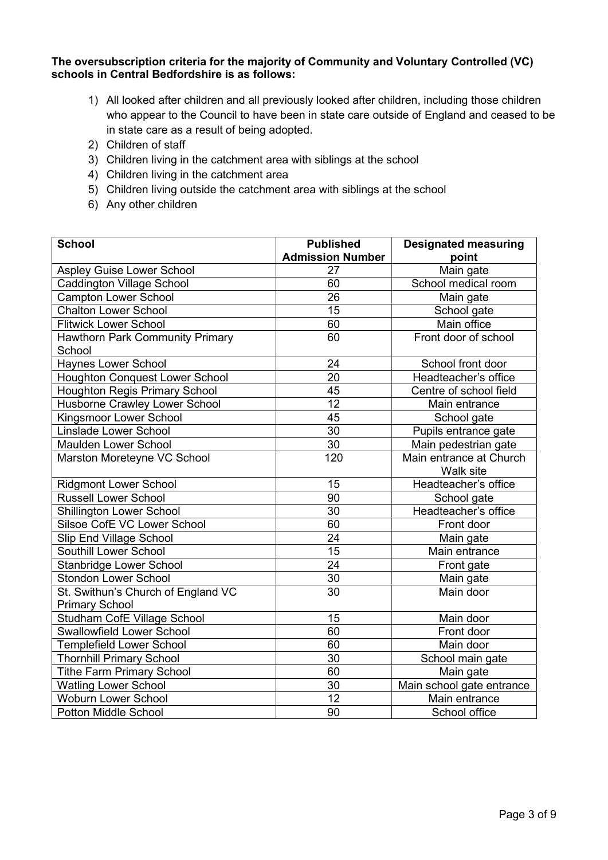The oversubscription criteria for the majority of Community and Voluntary Controlled (VC) schools in Central Bedfordshire is as follows:

- 1) All looked after children and all previously looked after children, including those children who appear to the Council to have been in state care outside of England and ceased to be in state care as a result of being adopted.
- 2) Children of staff
- 3) Children living in the catchment area with siblings at the school
- 4) Children living in the catchment area
- 5) Children living outside the catchment area with siblings at the school
- 6) Any other children

| <b>School</b>                         | <b>Published</b>        | <b>Designated measuring</b> |
|---------------------------------------|-------------------------|-----------------------------|
|                                       | <b>Admission Number</b> | point                       |
| <b>Aspley Guise Lower School</b>      | 27                      | Main gate                   |
| <b>Caddington Village School</b>      | 60                      | School medical room         |
| <b>Campton Lower School</b>           | 26                      | Main gate                   |
| <b>Chalton Lower School</b>           | 15                      | School gate                 |
| <b>Flitwick Lower School</b>          | 60                      | Main office                 |
| Hawthorn Park Community Primary       | 60                      | Front door of school        |
| School                                |                         |                             |
| Haynes Lower School                   | 24                      | School front door           |
| <b>Houghton Conquest Lower School</b> | 20                      | Headteacher's office        |
| <b>Houghton Regis Primary School</b>  | 45                      | Centre of school field      |
| Husborne Crawley Lower School         | 12                      | Main entrance               |
| Kingsmoor Lower School                | $\overline{45}$         | School gate                 |
| Linslade Lower School                 | $\overline{30}$         | Pupils entrance gate        |
| <b>Maulden Lower School</b>           | 30                      | Main pedestrian gate        |
| Marston Moreteyne VC School           | 120                     | Main entrance at Church     |
|                                       |                         | Walk site                   |
| <b>Ridgmont Lower School</b>          | 15                      | Headteacher's office        |
| <b>Russell Lower School</b>           | 90                      | School gate                 |
| <b>Shillington Lower School</b>       | 30                      | Headteacher's office        |
| Silsoe CofE VC Lower School           | 60                      | Front door                  |
| <b>Slip End Village School</b>        | $\overline{24}$         | Main gate                   |
| Southill Lower School                 | $\overline{15}$         | Main entrance               |
| Stanbridge Lower School               | 24                      | Front gate                  |
| <b>Stondon Lower School</b>           | $\overline{30}$         | Main gate                   |
| St. Swithun's Church of England VC    | 30                      | Main door                   |
| <b>Primary School</b>                 |                         |                             |
| <b>Studham CofE Village School</b>    | 15                      | Main door                   |
| <b>Swallowfield Lower School</b>      | 60                      | Front door                  |
| <b>Templefield Lower School</b>       | 60                      | Main door                   |
| <b>Thornhill Primary School</b>       | 30                      | School main gate            |
| <b>Tithe Farm Primary School</b>      | 60                      | Main gate                   |
| <b>Watling Lower School</b>           | $\overline{30}$         | Main school gate entrance   |
| <b>Woburn Lower School</b>            | 12                      | Main entrance               |
| <b>Potton Middle School</b>           | 90                      | School office               |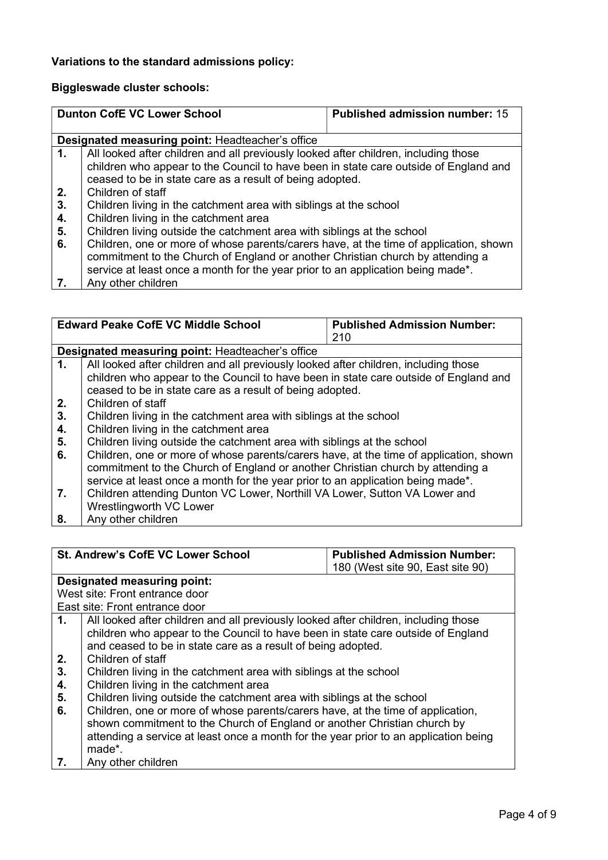# Variations to the standard admissions policy:

# Biggleswade cluster schools:

|    | <b>Dunton CofE VC Lower School</b>                                                                                                                                                                                                                         | <b>Published admission number: 15</b> |
|----|------------------------------------------------------------------------------------------------------------------------------------------------------------------------------------------------------------------------------------------------------------|---------------------------------------|
|    | Designated measuring point: Headteacher's office                                                                                                                                                                                                           |                                       |
| 1. | All looked after children and all previously looked after children, including those<br>children who appear to the Council to have been in state care outside of England and<br>ceased to be in state care as a result of being adopted.                    |                                       |
| 2. | Children of staff                                                                                                                                                                                                                                          |                                       |
| 3. | Children living in the catchment area with siblings at the school                                                                                                                                                                                          |                                       |
| 4. | Children living in the catchment area                                                                                                                                                                                                                      |                                       |
| 5. | Children living outside the catchment area with siblings at the school                                                                                                                                                                                     |                                       |
| 6. | Children, one or more of whose parents/carers have, at the time of application, shown<br>commitment to the Church of England or another Christian church by attending a<br>service at least once a month for the year prior to an application being made*. |                                       |
|    | Any other children                                                                                                                                                                                                                                         |                                       |

|           | <b>Edward Peake CofE VC Middle School</b>                                             | <b>Published Admission Number:</b> |  |
|-----------|---------------------------------------------------------------------------------------|------------------------------------|--|
|           |                                                                                       | 210                                |  |
|           | <b>Designated measuring point: Headteacher's office</b>                               |                                    |  |
| 1.        | All looked after children and all previously looked after children, including those   |                                    |  |
|           | children who appear to the Council to have been in state care outside of England and  |                                    |  |
|           | ceased to be in state care as a result of being adopted.                              |                                    |  |
| 2.        | Children of staff                                                                     |                                    |  |
| 3.        | Children living in the catchment area with siblings at the school                     |                                    |  |
| 4.        | Children living in the catchment area                                                 |                                    |  |
| 5.        | Children living outside the catchment area with siblings at the school                |                                    |  |
| 6.        | Children, one or more of whose parents/carers have, at the time of application, shown |                                    |  |
|           | commitment to the Church of England or another Christian church by attending a        |                                    |  |
|           | service at least once a month for the year prior to an application being made*.       |                                    |  |
| 7.        | Children attending Dunton VC Lower, Northill VA Lower, Sutton VA Lower and            |                                    |  |
|           | Wrestlingworth VC Lower                                                               |                                    |  |
| $\bullet$ | Any other obildren                                                                    |                                    |  |

8. Any other children

| <b>St. Andrew's CofE VC Lower School</b> |                                                                                                                                                                                                                                                               | <b>Published Admission Number:</b> |  |
|------------------------------------------|---------------------------------------------------------------------------------------------------------------------------------------------------------------------------------------------------------------------------------------------------------------|------------------------------------|--|
|                                          |                                                                                                                                                                                                                                                               | 180 (West site 90, East site 90)   |  |
|                                          | Designated measuring point:                                                                                                                                                                                                                                   |                                    |  |
|                                          | West site: Front entrance door                                                                                                                                                                                                                                |                                    |  |
|                                          | East site: Front entrance door                                                                                                                                                                                                                                |                                    |  |
| 1.                                       | All looked after children and all previously looked after children, including those<br>children who appear to the Council to have been in state care outside of England<br>and ceased to be in state care as a result of being adopted.                       |                                    |  |
| 2.                                       | Children of staff                                                                                                                                                                                                                                             |                                    |  |
| 3.                                       | Children living in the catchment area with siblings at the school                                                                                                                                                                                             |                                    |  |
| 4.                                       | Children living in the catchment area                                                                                                                                                                                                                         |                                    |  |
| 5.                                       | Children living outside the catchment area with siblings at the school                                                                                                                                                                                        |                                    |  |
| 6.                                       | Children, one or more of whose parents/carers have, at the time of application,<br>shown commitment to the Church of England or another Christian church by<br>attending a service at least once a month for the year prior to an application being<br>made*. |                                    |  |
|                                          | Any other children                                                                                                                                                                                                                                            |                                    |  |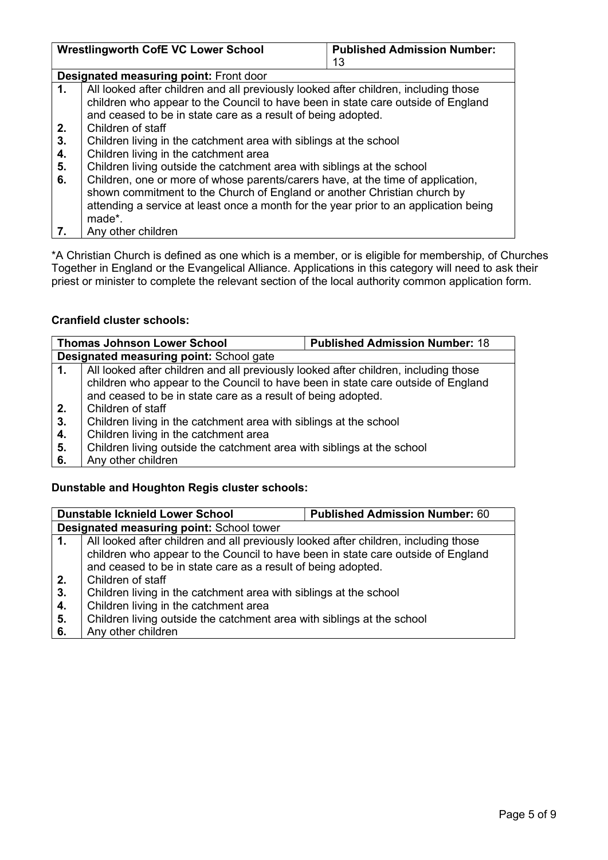|    | <b>Wrestlingworth CofE VC Lower School</b>                                           | <b>Published Admission Number:</b> |  |
|----|--------------------------------------------------------------------------------------|------------------------------------|--|
|    |                                                                                      | 13                                 |  |
|    | <b>Designated measuring point: Front door</b>                                        |                                    |  |
| 1. | All looked after children and all previously looked after children, including those  |                                    |  |
|    | children who appear to the Council to have been in state care outside of England     |                                    |  |
|    | and ceased to be in state care as a result of being adopted.                         |                                    |  |
| 2. | Children of staff                                                                    |                                    |  |
| 3. | Children living in the catchment area with siblings at the school                    |                                    |  |
| 4. | Children living in the catchment area                                                |                                    |  |
| 5. | Children living outside the catchment area with siblings at the school               |                                    |  |
| 6. | Children, one or more of whose parents/carers have, at the time of application,      |                                    |  |
|    | shown commitment to the Church of England or another Christian church by             |                                    |  |
|    | attending a service at least once a month for the year prior to an application being |                                    |  |
|    | made*.                                                                               |                                    |  |
| 7. | Any other children                                                                   |                                    |  |

\*A Christian Church is defined as one which is a member, or is eligible for membership, of Churches Together in England or the Evangelical Alliance. Applications in this category will need to ask their priest or minister to complete the relevant section of the local authority common application form.

# Cranfield cluster schools:

|    | <b>Thomas Johnson Lower School</b>                                                  | <b>Published Admission Number: 18</b> |  |
|----|-------------------------------------------------------------------------------------|---------------------------------------|--|
|    | <b>Designated measuring point: School gate</b>                                      |                                       |  |
| 1. | All looked after children and all previously looked after children, including those |                                       |  |
|    | children who appear to the Council to have been in state care outside of England    |                                       |  |
|    | and ceased to be in state care as a result of being adopted.                        |                                       |  |
| 2. | Children of staff                                                                   |                                       |  |
| 3. | Children living in the catchment area with siblings at the school                   |                                       |  |
| 4. | Children living in the catchment area                                               |                                       |  |
| 5. | Children living outside the catchment area with siblings at the school              |                                       |  |
| 6. | Any other children                                                                  |                                       |  |

# Dunstable and Houghton Regis cluster schools:

|    | <b>Dunstable Icknield Lower School</b>                                              | <b>Published Admission Number: 60</b> |
|----|-------------------------------------------------------------------------------------|---------------------------------------|
|    | Designated measuring point: School tower                                            |                                       |
| 1. | All looked after children and all previously looked after children, including those |                                       |
|    | children who appear to the Council to have been in state care outside of England    |                                       |
|    | and ceased to be in state care as a result of being adopted.                        |                                       |
| 2. | Children of staff                                                                   |                                       |
| 3. | Children living in the catchment area with siblings at the school                   |                                       |
| 4. | Children living in the catchment area                                               |                                       |
| 5. | Children living outside the catchment area with siblings at the school              |                                       |
| 6. | Any other children                                                                  |                                       |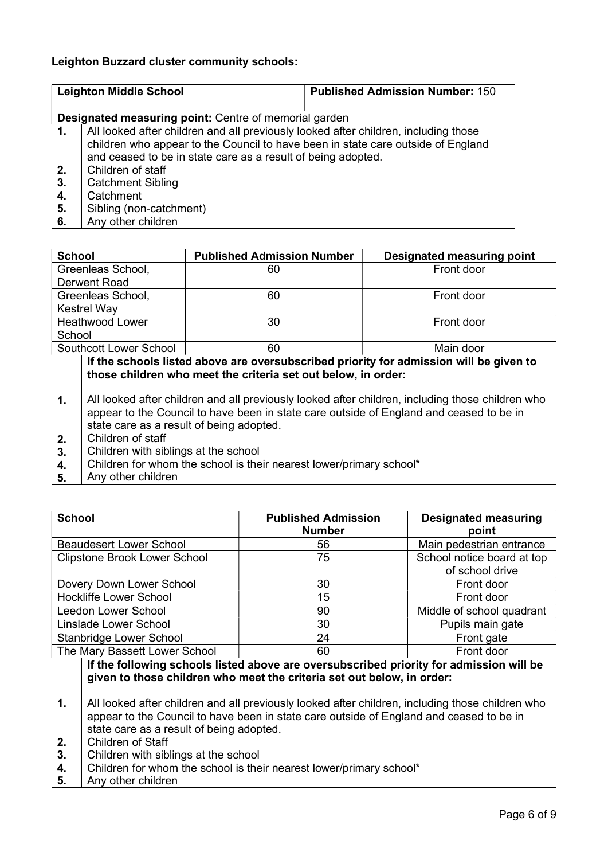## Leighton Buzzard cluster community schools:

|    | <b>Leighton Middle School</b>                                                                                                                                                                                                           | <b>Published Admission Number: 150</b> |
|----|-----------------------------------------------------------------------------------------------------------------------------------------------------------------------------------------------------------------------------------------|----------------------------------------|
|    | <b>Designated measuring point:</b> Centre of memorial garden                                                                                                                                                                            |                                        |
| 1. | All looked after children and all previously looked after children, including those<br>children who appear to the Council to have been in state care outside of England<br>and ceased to be in state care as a result of being adopted. |                                        |
| 2. | Children of staff                                                                                                                                                                                                                       |                                        |
| 3. | <b>Catchment Sibling</b>                                                                                                                                                                                                                |                                        |
| 4. | Catchment                                                                                                                                                                                                                               |                                        |
| 5. | Sibling (non-catchment)                                                                                                                                                                                                                 |                                        |
| 6. | Any other children                                                                                                                                                                                                                      |                                        |

| <b>School</b>                                                                                                                                                                                                                                                                                                                                                | <b>Published Admission Number</b>        | Designated measuring point |
|--------------------------------------------------------------------------------------------------------------------------------------------------------------------------------------------------------------------------------------------------------------------------------------------------------------------------------------------------------------|------------------------------------------|----------------------------|
| Greenleas School,                                                                                                                                                                                                                                                                                                                                            | 60                                       | Front door                 |
| Derwent Road                                                                                                                                                                                                                                                                                                                                                 |                                          |                            |
| Greenleas School,                                                                                                                                                                                                                                                                                                                                            | 60                                       | Front door                 |
| <b>Kestrel Way</b>                                                                                                                                                                                                                                                                                                                                           |                                          |                            |
| <b>Heathwood Lower</b>                                                                                                                                                                                                                                                                                                                                       | 30                                       | Front door                 |
| School                                                                                                                                                                                                                                                                                                                                                       |                                          |                            |
| Southcott Lower School                                                                                                                                                                                                                                                                                                                                       | 60                                       | Main door                  |
| If the schools listed above are oversubscribed priority for admission will be given to<br>those children who meet the criteria set out below, in order:<br>All looked after children and all previously looked after children, including those children who<br>1.<br>appear to the Council to have been in state care outside of England and ceased to be in |                                          |                            |
|                                                                                                                                                                                                                                                                                                                                                              | state care as a result of being adopted. |                            |

- 2. Children of staff
- 3. Children with siblings at the school
- 4. Children for whom the school is their nearest lower/primary school\*
- 5. Any other children

| <b>School</b>                       | <b>Published Admission</b><br><b>Number</b> | <b>Designated measuring</b><br>point          |
|-------------------------------------|---------------------------------------------|-----------------------------------------------|
| <b>Beaudesert Lower School</b>      | 56                                          | Main pedestrian entrance                      |
| <b>Clipstone Brook Lower School</b> | 75                                          | School notice board at top<br>of school drive |
| Dovery Down Lower School            | 30                                          | Front door                                    |
| <b>Hockliffe Lower School</b>       | 15                                          | Front door                                    |
| Leedon Lower School                 | 90                                          | Middle of school quadrant                     |
| Linslade Lower School               | 30                                          | Pupils main gate                              |
| Stanbridge Lower School             | 24                                          | Front gate                                    |
| The Mary Bassett Lower School       | 60                                          | Front door                                    |

# If the following schools listed above are oversubscribed priority for admission will be given to those children who meet the criteria set out below, in order:

- 1. All looked after children and all previously looked after children, including those children who appear to the Council to have been in state care outside of England and ceased to be in state care as a result of being adopted.
- 2. Children of Staff
- 3. Children with siblings at the school
- 4. Children for whom the school is their nearest lower/primary school\*
- 5. Any other children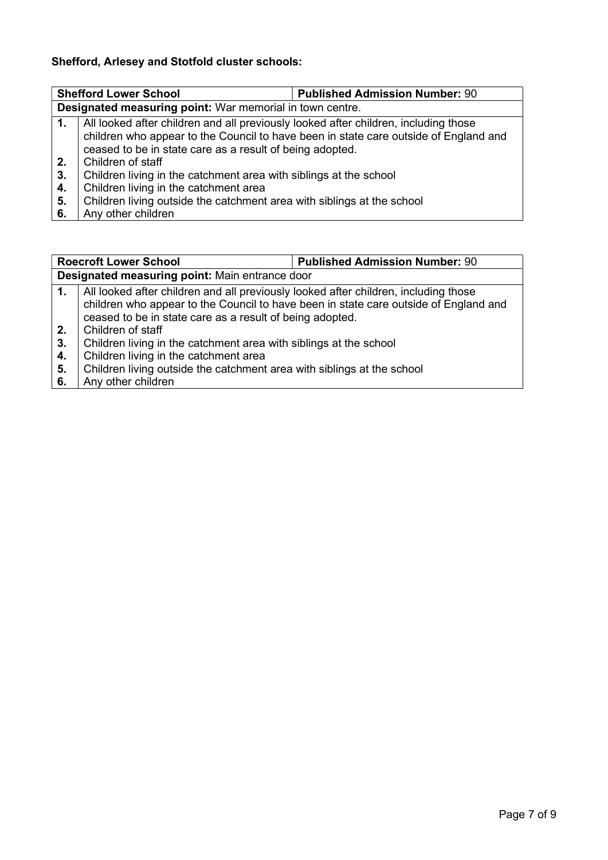# Shefford, Arlesey and Stotfold cluster schools:

|                  | <b>Shefford Lower School</b>                                                                                                                                                                                                            | <b>Published Admission Number: 90</b> |  |
|------------------|-----------------------------------------------------------------------------------------------------------------------------------------------------------------------------------------------------------------------------------------|---------------------------------------|--|
|                  | Designated measuring point: War memorial in town centre.                                                                                                                                                                                |                                       |  |
| 1.               | All looked after children and all previously looked after children, including those<br>children who appear to the Council to have been in state care outside of England and<br>ceased to be in state care as a result of being adopted. |                                       |  |
| 2.               | Children of staff                                                                                                                                                                                                                       |                                       |  |
| 3.               | Children living in the catchment area with siblings at the school                                                                                                                                                                       |                                       |  |
| 4.               | Children living in the catchment area                                                                                                                                                                                                   |                                       |  |
| $\overline{5}$ . | Children living outside the catchment area with siblings at the school                                                                                                                                                                  |                                       |  |
| 6.               | Any other children                                                                                                                                                                                                                      |                                       |  |

|          | <b>Published Admission Number: 90</b><br><b>Roecroft Lower School</b>                                                                                                       |  |  |
|----------|-----------------------------------------------------------------------------------------------------------------------------------------------------------------------------|--|--|
|          | Designated measuring point: Main entrance door                                                                                                                              |  |  |
| 1.       | All looked after children and all previously looked after children, including those<br>children who appear to the Council to have been in state care outside of England and |  |  |
|          | ceased to be in state care as a result of being adopted.                                                                                                                    |  |  |
| 2.<br>3. | Children of staff<br>Children living in the catchment area with siblings at the school                                                                                      |  |  |
| 4.       | Children living in the catchment area                                                                                                                                       |  |  |
| 5.       | Children living outside the catchment area with siblings at the school                                                                                                      |  |  |
| 6.       | Any other children                                                                                                                                                          |  |  |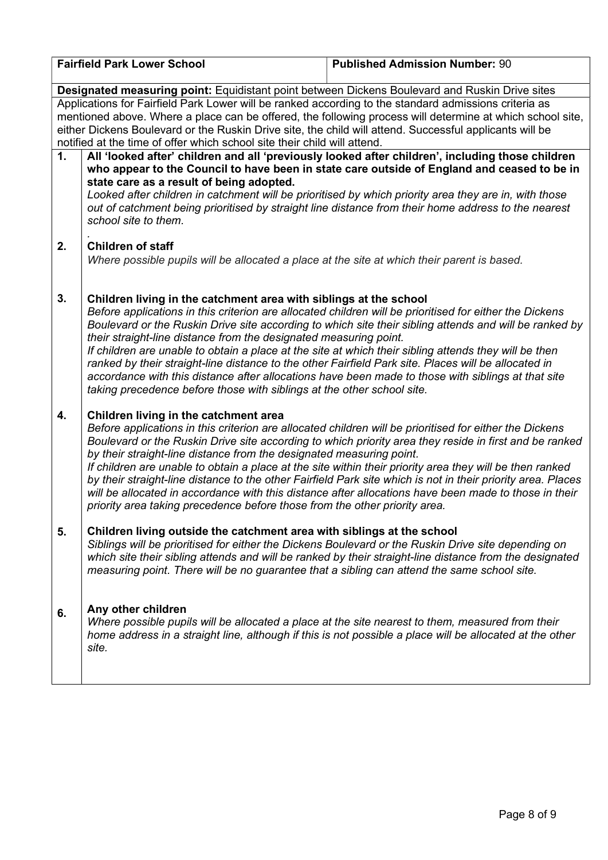| <b>Fairfield Park Lower School</b>                                                                                                                                                                                                                                                                                                                                                                        |                                                                                                                                                                                                                                                                                                                                                                                                                                                                                                                                                                                                                                                                                                                                                              | <b>Published Admission Number: 90</b>                                                                                                                                                                                                                                                                                                                                                                                                                                                                                                                  |  |
|-----------------------------------------------------------------------------------------------------------------------------------------------------------------------------------------------------------------------------------------------------------------------------------------------------------------------------------------------------------------------------------------------------------|--------------------------------------------------------------------------------------------------------------------------------------------------------------------------------------------------------------------------------------------------------------------------------------------------------------------------------------------------------------------------------------------------------------------------------------------------------------------------------------------------------------------------------------------------------------------------------------------------------------------------------------------------------------------------------------------------------------------------------------------------------------|--------------------------------------------------------------------------------------------------------------------------------------------------------------------------------------------------------------------------------------------------------------------------------------------------------------------------------------------------------------------------------------------------------------------------------------------------------------------------------------------------------------------------------------------------------|--|
| Designated measuring point: Equidistant point between Dickens Boulevard and Ruskin Drive sites                                                                                                                                                                                                                                                                                                            |                                                                                                                                                                                                                                                                                                                                                                                                                                                                                                                                                                                                                                                                                                                                                              |                                                                                                                                                                                                                                                                                                                                                                                                                                                                                                                                                        |  |
| Applications for Fairfield Park Lower will be ranked according to the standard admissions criteria as<br>mentioned above. Where a place can be offered, the following process will determine at which school site,<br>either Dickens Boulevard or the Ruskin Drive site, the child will attend. Successful applicants will be<br>notified at the time of offer which school site their child will attend. |                                                                                                                                                                                                                                                                                                                                                                                                                                                                                                                                                                                                                                                                                                                                                              |                                                                                                                                                                                                                                                                                                                                                                                                                                                                                                                                                        |  |
| 1.                                                                                                                                                                                                                                                                                                                                                                                                        | All 'looked after' children and all 'previously looked after children', including those children<br>who appear to the Council to have been in state care outside of England and ceased to be in<br>state care as a result of being adopted.<br>Looked after children in catchment will be prioritised by which priority area they are in, with those<br>out of catchment being prioritised by straight line distance from their home address to the nearest<br>school site to them.                                                                                                                                                                                                                                                                          |                                                                                                                                                                                                                                                                                                                                                                                                                                                                                                                                                        |  |
| 2.                                                                                                                                                                                                                                                                                                                                                                                                        | <b>Children of staff</b><br>Where possible pupils will be allocated a place at the site at which their parent is based.                                                                                                                                                                                                                                                                                                                                                                                                                                                                                                                                                                                                                                      |                                                                                                                                                                                                                                                                                                                                                                                                                                                                                                                                                        |  |
| 3.                                                                                                                                                                                                                                                                                                                                                                                                        | Children living in the catchment area with siblings at the school<br>Before applications in this criterion are allocated children will be prioritised for either the Dickens<br>Boulevard or the Ruskin Drive site according to which site their sibling attends and will be ranked by<br>their straight-line distance from the designated measuring point.<br>If children are unable to obtain a place at the site at which their sibling attends they will be then<br>ranked by their straight-line distance to the other Fairfield Park site. Places will be allocated in<br>accordance with this distance after allocations have been made to those with siblings at that site<br>taking precedence before those with siblings at the other school site. |                                                                                                                                                                                                                                                                                                                                                                                                                                                                                                                                                        |  |
| 4.                                                                                                                                                                                                                                                                                                                                                                                                        | Children living in the catchment area<br>by their straight-line distance from the designated measuring point.<br>priority area taking precedence before those from the other priority area.                                                                                                                                                                                                                                                                                                                                                                                                                                                                                                                                                                  | Before applications in this criterion are allocated children will be prioritised for either the Dickens<br>Boulevard or the Ruskin Drive site according to which priority area they reside in first and be ranked<br>If children are unable to obtain a place at the site within their priority area they will be then ranked<br>by their straight-line distance to the other Fairfield Park site which is not in their priority area. Places<br>will be allocated in accordance with this distance after allocations have been made to those in their |  |
| 5.                                                                                                                                                                                                                                                                                                                                                                                                        | Children living outside the catchment area with siblings at the school<br>measuring point. There will be no guarantee that a sibling can attend the same school site.                                                                                                                                                                                                                                                                                                                                                                                                                                                                                                                                                                                        | Siblings will be prioritised for either the Dickens Boulevard or the Ruskin Drive site depending on<br>which site their sibling attends and will be ranked by their straight-line distance from the designated                                                                                                                                                                                                                                                                                                                                         |  |
| 6.                                                                                                                                                                                                                                                                                                                                                                                                        | Any other children<br>Where possible pupils will be allocated a place at the site nearest to them, measured from their<br>site.                                                                                                                                                                                                                                                                                                                                                                                                                                                                                                                                                                                                                              | home address in a straight line, although if this is not possible a place will be allocated at the other                                                                                                                                                                                                                                                                                                                                                                                                                                               |  |